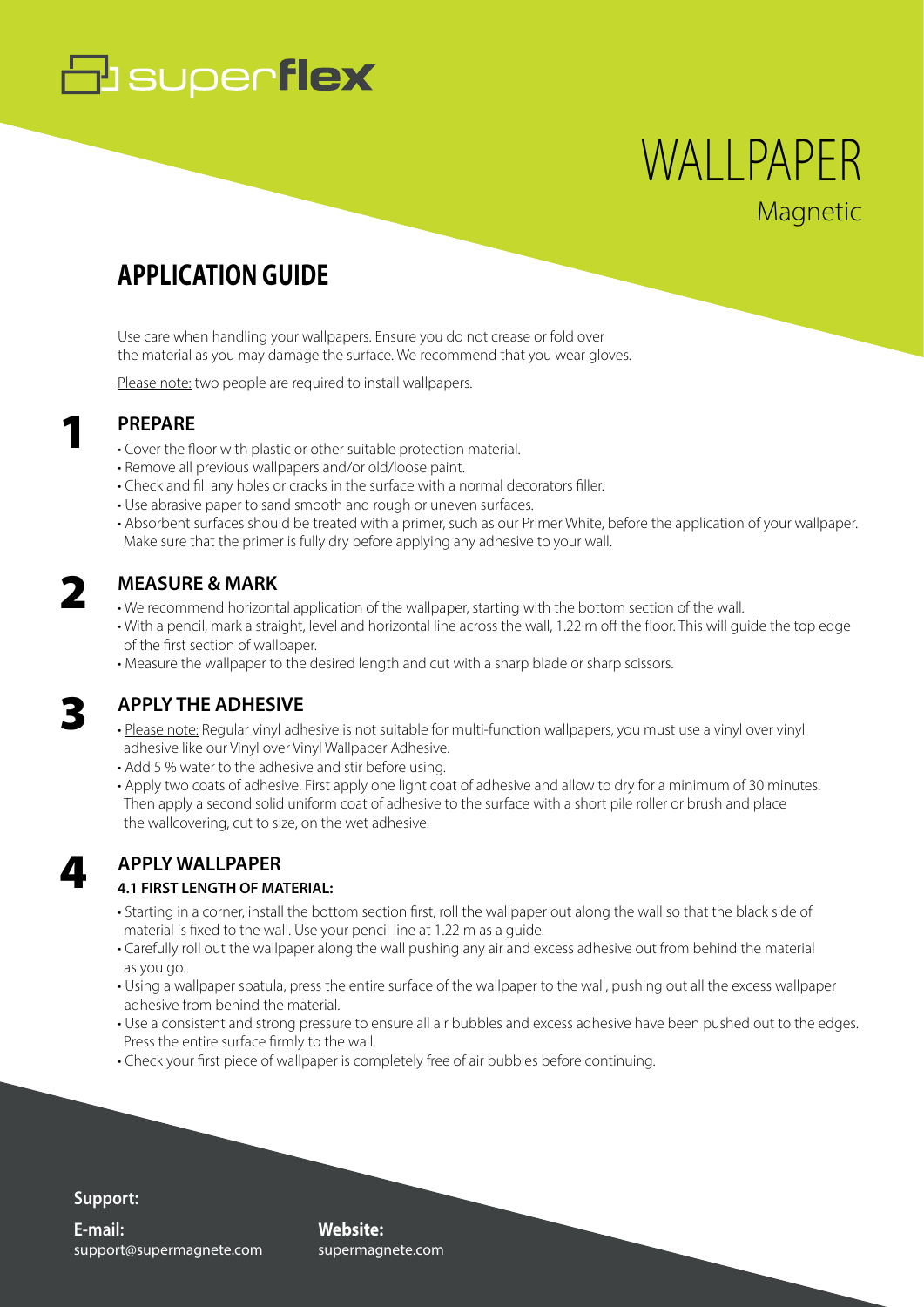# **B** superflex

## **Magnetic** WALLPAPER

### **APPLICATION GUIDE**

Use care when handling your wallpapers. Ensure you do not crease or fold over the material as you may damage the surface. We recommend that you wear gloves.

Please note: two people are required to install wallpapers.

### **PREPARE**

- Cover the floor with plastic or other suitable protection material.
- Remove all previous wallpapers and/or old/loose paint.
- Check and fill any holes or cracks in the surface with a normal decorators filler.
- Use abrasive paper to sand smooth and rough or uneven surfaces.
- Absorbent surfaces should be treated with a primer, such as our Primer White, before the application of your wallpaper. Make sure that the primer is fully dry before applying any adhesive to your wall.

### **MEASURE & MARK**

- We recommend horizontal application of the wallpaper, starting with the bottom section of the wall.
- With a pencil, mark a straight, level and horizontal line across the wall, 1.22 m off the floor. This will guide the top edge of the first section of wallpaper.
- Measure the wallpaper to the desired length and cut with a sharp blade or sharp scissors.

### 3

4

2

1

### **APPLY THE ADHESIVE**

- Please note: Regular vinyl adhesive is not suitable for multi-function wallpapers, you must use a vinyl over vinyl adhesive like our Vinyl over Vinyl Wallpaper Adhesive.
- Add 5 % water to the adhesive and stir before using.
- Apply two coats of adhesive. First apply one light coat of adhesive and allow to dry for a minimum of 30 minutes. Then apply a second solid uniform coat of adhesive to the surface with a short pile roller or brush and place the wallcovering, cut to size, on the wet adhesive.

### **APPLY WALLPAPER**

### **4.1 FIRST LENGTH OF MATERIAL:**

- Starting in a corner, install the bottom section first, roll the wallpaper out along the wall so that the black side of material is fixed to the wall. Use your pencil line at 1.22 m as a guide.
- Carefully roll out the wallpaper along the wall pushing any air and excess adhesive out from behind the material as you go.
- Using a wallpaper spatula, press the entire surface of the wallpaper to the wall, pushing out all the excess wallpaper adhesive from behind the material.
- Use a consistent and strong pressure to ensure all air bubbles and excess adhesive have been pushed out to the edges. Press the entire surface firmly to the wall.
- Check your first piece of wallpaper is completely free of air bubbles before continuing.

### **Support:**

support@supermagnete.com **E-mail:**

**Website:** supermagnete.com